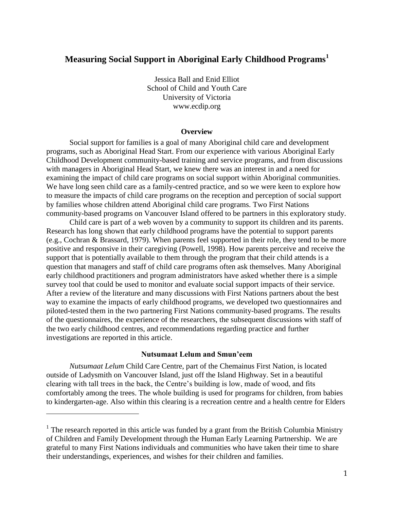# **Measuring Social Support in Aboriginal Early Childhood Programs<sup>1</sup>**

Jessica Ball and Enid Elliot School of Child and Youth Care University of Victoria www.ecdip.org

#### **Overview**

Social support for families is a goal of many Aboriginal child care and development programs, such as Aboriginal Head Start. From our experience with various Aboriginal Early Childhood Development community-based training and service programs, and from discussions with managers in Aboriginal Head Start, we knew there was an interest in and a need for examining the impact of child care programs on social support within Aboriginal communities. We have long seen child care as a family-centred practice, and so we were keen to explore how to measure the impacts of child care programs on the reception and perception of social support by families whose children attend Aboriginal child care programs. Two First Nations community-based programs on Vancouver Island offered to be partners in this exploratory study.

Child care is part of a web woven by a community to support its children and its parents. Research has long shown that early childhood programs have the potential to support parents (e.g., Cochran & Brassard, 1979). When parents feel supported in their role, they tend to be more positive and responsive in their caregiving (Powell, 1998). How parents perceive and receive the support that is potentially available to them through the program that their child attends is a question that managers and staff of child care programs often ask themselves. Many Aboriginal early childhood practitioners and program administrators have asked whether there is a simple survey tool that could be used to monitor and evaluate social support impacts of their service. After a review of the literature and many discussions with First Nations partners about the best way to examine the impacts of early childhood programs, we developed two questionnaires and piloted-tested them in the two partnering First Nations community-based programs. The results of the questionnaires, the experience of the researchers, the subsequent discussions with staff of the two early childhood centres, and recommendations regarding practice and further investigations are reported in this article.

#### **Nutsumaat Lelum and Smun'eem**

*Nutsumaat Lelum* Child Care Centre, part of the Chemainus First Nation, is located outside of Ladysmith on Vancouver Island, just off the Island Highway. Set in a beautiful clearing with tall trees in the back, the Centre's building is low, made of wood, and fits comfortably among the trees. The whole building is used for programs for children, from babies to kindergarten-age. Also within this clearing is a recreation centre and a health centre for Elders

 $\overline{a}$ 

 $<sup>1</sup>$  The research reported in this article was funded by a grant from the British Columbia Ministry</sup> of Children and Family Development through the Human Early Learning Partnership. We are grateful to many First Nations individuals and communities who have taken their time to share their understandings, experiences, and wishes for their children and families.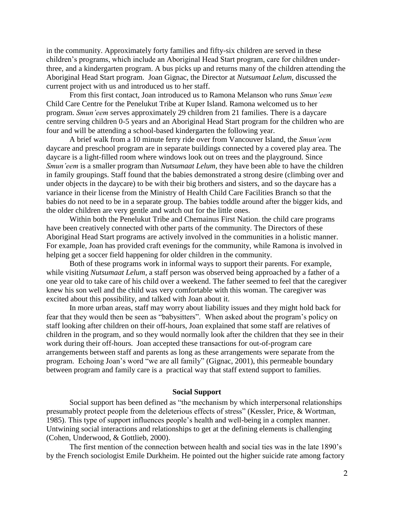in the community. Approximately forty families and fifty-six children are served in these children's programs, which include an Aboriginal Head Start program, care for children underthree, and a kindergarten program. A bus picks up and returns many of the children attending the Aboriginal Head Start program. Joan Gignac, the Director at *Nutsumaat Lelum,* discussed the current project with us and introduced us to her staff.

From this first contact, Joan introduced us to Ramona Melanson who runs *Smun'eem* Child Care Centre for the Penelukut Tribe at Kuper Island. Ramona welcomed us to her program. *Smun'eem* serves approximately 29 children from 21 families. There is a daycare centre serving children 0-5 years and an Aboriginal Head Start program for the children who are four and will be attending a school-based kindergarten the following year.

A brief walk from a 10 minute ferry ride over from Vancouver Island, the *Smun'eem* daycare and preschool program are in separate buildings connected by a covered play area. The daycare is a light-filled room where windows look out on trees and the playground. Since *Smun'eem* is a smaller program than *Nutsumaat Lelum*, they have been able to have the children in family groupings. Staff found that the babies demonstrated a strong desire (climbing over and under objects in the daycare) to be with their big brothers and sisters, and so the daycare has a variance in their license from the Ministry of Health Child Care Facilities Branch so that the babies do not need to be in a separate group. The babies toddle around after the bigger kids, and the older children are very gentle and watch out for the little ones.

Within both the Penelukut Tribe and Chemainus First Nation. the child care programs have been creatively connected with other parts of the community. The Directors of these Aboriginal Head Start programs are actively involved in the communities in a holistic manner. For example, Joan has provided craft evenings for the community, while Ramona is involved in helping get a soccer field happening for older children in the community.

Both of these programs work in informal ways to support their parents. For example, while visiting *Nutsumaat Lelum*, a staff person was observed being approached by a father of a one year old to take care of his child over a weekend. The father seemed to feel that the caregiver knew his son well and the child was very comfortable with this woman. The caregiver was excited about this possibility, and talked with Joan about it.

In more urban areas, staff may worry about liability issues and they might hold back for fear that they would then be seen as "babysitters". When asked about the program's policy on staff looking after children on their off-hours, Joan explained that some staff are relatives of children in the program, and so they would normally look after the children that they see in their work during their off-hours. Joan accepted these transactions for out-of-program care arrangements between staff and parents as long as these arrangements were separate from the program. Echoing Joan's word "we are all family" (Gignac, 2001), this permeable boundary between program and family care is a practical way that staff extend support to families.

### **Social Support**

Social support has been defined as "the mechanism by which interpersonal relationships presumably protect people from the deleterious effects of stress" (Kessler, Price, & Wortman, 1985). This type of support influences people's health and well-being in a complex manner. Untwining social interactions and relationships to get at the defining elements is challenging (Cohen, Underwood, & Gottlieb, 2000).

The first mention of the connection between health and social ties was in the late 1890's by the French sociologist Emile Durkheim. He pointed out the higher suicide rate among factory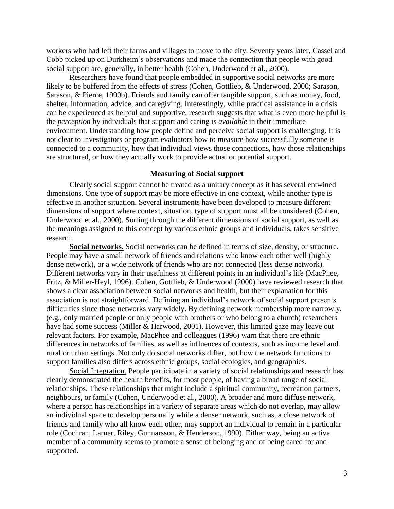workers who had left their farms and villages to move to the city. Seventy years later, Cassel and Cobb picked up on Durkheim's observations and made the connection that people with good social support are, generally, in better health (Cohen, Underwood et al., 2000).

Researchers have found that people embedded in supportive social networks are more likely to be buffered from the effects of stress (Cohen, Gottlieb, & Underwood, 2000; Sarason, Sarason, & Pierce, 1990b). Friends and family can offer tangible support, such as money, food, shelter, information, advice, and caregiving. Interestingly, while practical assistance in a crisis can be experienced as helpful and supportive, research suggests that what is even more helpful is the *perception* by individuals that support and caring is *available* in their immediate environment. Understanding how people define and perceive social support is challenging. It is not clear to investigators or program evaluators how to measure how successfully someone is connected to a community, how that individual views those connections, how those relationships are structured, or how they actually work to provide actual or potential support.

#### **Measuring of Social support**

Clearly social support cannot be treated as a unitary concept as it has several entwined dimensions. One type of support may be more effective in one context, while another type is effective in another situation. Several instruments have been developed to measure different dimensions of support where context, situation, type of support must all be considered (Cohen, Underwood et al., 2000). Sorting through the different dimensions of social support, as well as the meanings assigned to this concept by various ethnic groups and individuals, takes sensitive research.

**Social networks.** Social networks can be defined in terms of size, density, or structure. People may have a small network of friends and relations who know each other well (highly dense network), or a wide network of friends who are not connected (less dense network). Different networks vary in their usefulness at different points in an individual's life (MacPhee, Fritz, & Miller-Heyl, 1996). Cohen, Gottlieb, & Underwood (2000) have reviewed research that shows a clear association between social networks and health, but their explanation for this association is not straightforward. Defining an individual's network of social support presents difficulties since those networks vary widely. By defining network membership more narrowly, (e.g., only married people or only people with brothers or who belong to a church) researchers have had some success (Miller & Harwood, 2001). However, this limited gaze may leave out relevant factors. For example, MacPhee and colleagues (1996) warn that there are ethnic differences in networks of families, as well as influences of contexts, such as income level and rural or urban settings. Not only do social networks differ, but how the network functions to support families also differs across ethnic groups, social ecologies, and geographies.

Social Integration. People participate in a variety of social relationships and research has clearly demonstrated the health benefits, for most people, of having a broad range of social relationships. These relationships that might include a spiritual community, recreation partners, neighbours, or family (Cohen, Underwood et al., 2000). A broader and more diffuse network, where a person has relationships in a variety of separate areas which do not overlap, may allow an individual space to develop personally while a denser network, such as, a close network of friends and family who all know each other, may support an individual to remain in a particular role (Cochran, Larner, Riley, Gunnarsson, & Henderson, 1990). Either way, being an active member of a community seems to promote a sense of belonging and of being cared for and supported.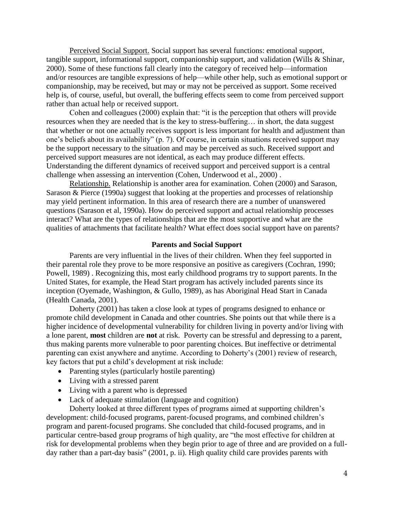Perceived Social Support. Social support has several functions: emotional support, tangible support, informational support, companionship support, and validation (Wills & Shinar, 2000). Some of these functions fall clearly into the category of received help—information and/or resources are tangible expressions of help—while other help, such as emotional support or companionship, may be received, but may or may not be perceived as support. Some received help is, of course, useful, but overall, the buffering effects seem to come from perceived support rather than actual help or received support.

Cohen and colleagues (2000) explain that: "it is the perception that others will provide resources when they are needed that is the key to stress-buffering… in short, the data suggest that whether or not one actually receives support is less important for health and adjustment than one's beliefs about its availability" (p. 7). Of course, in certain situations received support may be the support necessary to the situation and may be perceived as such. Received support and perceived support measures are not identical, as each may produce different effects. Understanding the different dynamics of received support and perceived support is a central challenge when assessing an intervention (Cohen, Underwood et al., 2000) .

Relationship. Relationship is another area for examination. Cohen (2000) and Sarason, Sarason & Pierce (1990a) suggest that looking at the properties and processes of relationship may yield pertinent information. In this area of research there are a number of unanswered questions (Sarason et al, 1990a). How do perceived support and actual relationship processes interact? What are the types of relationships that are the most supportive and what are the qualities of attachments that facilitate health? What effect does social support have on parents?

#### **Parents and Social Support**

Parents are very influential in the lives of their children. When they feel supported in their parental role they prove to be more responsive an positive as caregivers (Cochran, 1990; Powell, 1989) . Recognizing this, most early childhood programs try to support parents. In the United States, for example, the Head Start program has actively included parents since its inception (Oyemade, Washington, & Gullo, 1989), as has Aboriginal Head Start in Canada (Health Canada, 2001).

Doherty (2001) has taken a close look at types of programs designed to enhance or promote child development in Canada and other countries. She points out that while there is a higher incidence of developmental vulnerability for children living in poverty and/or living with a lone parent, **most** children are **not** at risk. Poverty can be stressful and depressing to a parent, thus making parents more vulnerable to poor parenting choices. But ineffective or detrimental parenting can exist anywhere and anytime. According to Doherty's (2001) review of research, key factors that put a child's development at risk include:

- Parenting styles (particularly hostile parenting)
- Living with a stressed parent
- Living with a parent who is depressed
- Lack of adequate stimulation (language and cognition)

Doherty looked at three different types of programs aimed at supporting children's development: child-focused programs, parent-focused programs, and combined children's program and parent-focused programs. She concluded that child-focused programs, and in particular centre-based group programs of high quality, are "the most effective for children at risk for developmental problems when they begin prior to age of three and are provided on a fullday rather than a part-day basis" (2001, p. ii). High quality child care provides parents with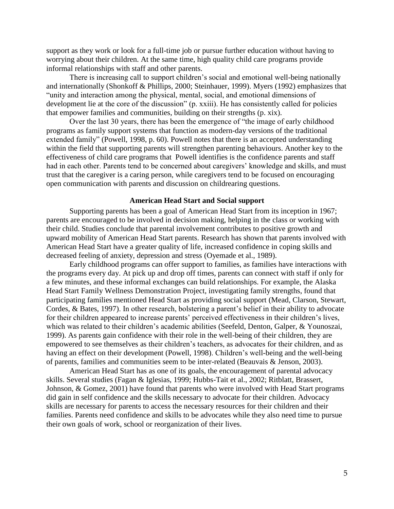support as they work or look for a full-time job or pursue further education without having to worrying about their children. At the same time, high quality child care programs provide informal relationships with staff and other parents.

There is increasing call to support children's social and emotional well-being nationally and internationally (Shonkoff & Phillips, 2000; Steinhauer, 1999). Myers (1992) emphasizes that "unity and interaction among the physical, mental, social, and emotional dimensions of development lie at the core of the discussion" (p. xxiii). He has consistently called for policies that empower families and communities, building on their strengths (p. xix).

Over the last 30 years, there has been the emergence of "the image of early childhood programs as family support systems that function as modern-day versions of the traditional extended family" (Powell, 1998, p. 60). Powell notes that there is an accepted understanding within the field that supporting parents will strengthen parenting behaviours. Another key to the effectiveness of child care programs that Powell identifies is the confidence parents and staff had in each other. Parents tend to be concerned about caregivers' knowledge and skills, and must trust that the caregiver is a caring person, while caregivers tend to be focused on encouraging open communication with parents and discussion on childrearing questions.

#### **American Head Start and Social support**

Supporting parents has been a goal of American Head Start from its inception in 1967; parents are encouraged to be involved in decision making, helping in the class or working with their child. Studies conclude that parental involvement contributes to positive growth and upward mobility of American Head Start parents. Research has shown that parents involved with American Head Start have a greater quality of life, increased confidence in coping skills and decreased feeling of anxiety, depression and stress (Oyemade et al., 1989).

Early childhood programs can offer support to families, as families have interactions with the programs every day. At pick up and drop off times, parents can connect with staff if only for a few minutes, and these informal exchanges can build relationships. For example, the Alaska Head Start Family Wellness Demonstration Project, investigating family strengths, found that participating families mentioned Head Start as providing social support (Mead, Clarson, Stewart, Cordes, & Bates, 1997). In other research, bolstering a parent's belief in their ability to advocate for their children appeared to increase parents' perceived effectiveness in their children's lives, which was related to their children's academic abilities (Seefeld, Denton, Galper, & Younoszai, 1999). As parents gain confidence with their role in the well-being of their children, they are empowered to see themselves as their children's teachers, as advocates for their children, and as having an effect on their development (Powell, 1998). Children's well-being and the well-being of parents, families and communities seem to be inter-related (Beauvais & Jenson, 2003).

American Head Start has as one of its goals, the encouragement of parental advocacy skills. Several studies (Fagan & Iglesias, 1999; Hubbs-Tait et al., 2002; Ritblatt, Brassert, Johnson, & Gomez, 2001) have found that parents who were involved with Head Start programs did gain in self confidence and the skills necessary to advocate for their children. Advocacy skills are necessary for parents to access the necessary resources for their children and their families. Parents need confidence and skills to be advocates while they also need time to pursue their own goals of work, school or reorganization of their lives.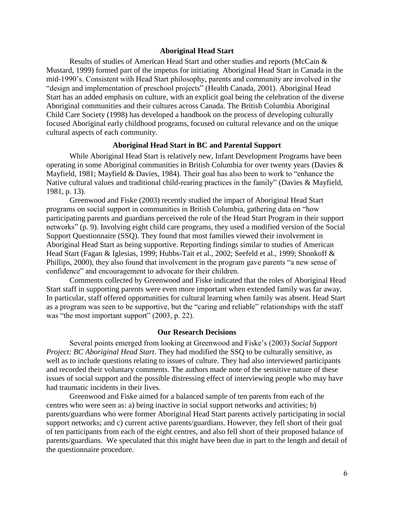#### **Aboriginal Head Start**

Results of studies of American Head Start and other studies and reports (McCain & Mustard, 1999) formed part of the impetus for initiating Aboriginal Head Start in Canada in the mid-1990's. Consistent with Head Start philosophy, parents and community are involved in the "design and implementation of preschool projects" (Health Canada, 2001). Aboriginal Head Start has an added emphasis on culture, with an explicit goal being the celebration of the diverse Aboriginal communities and their cultures across Canada. The British Columbia Aboriginal Child Care Society (1998) has developed a handbook on the process of developing culturally focused Aboriginal early childhood programs, focused on cultural relevance and on the unique cultural aspects of each community.

## **Aboriginal Head Start in BC and Parental Support**

While Aboriginal Head Start is relatively new, Infant Development Programs have been operating in some Aboriginal communities in British Columbia for over twenty years (Davies & Mayfield, 1981; Mayfield & Davies, 1984). Their goal has also been to work to "enhance the Native cultural values and traditional child-rearing practices in the family" (Davies & Mayfield, 1981, p. 13).

Greenwood and Fiske (2003) recently studied the impact of Aboriginal Head Start programs on social support in communities in British Columbia, gathering data on "how participating parents and guardians perceived the role of the Head Start Program in their support networks" (p. 9). Involving eight child care programs, they used a modified version of the Social Support Questionnaire (SSQ). They found that most families viewed their involvement in Aboriginal Head Start as being supportive. Reporting findings similar to studies of American Head Start (Fagan & Iglesias, 1999; Hubbs-Tait et al., 2002; Seefeld et al., 1999; Shonkoff & Phillips, 2000), they also found that involvement in the program gave parents "a new sense of confidence" and encouragement to advocate for their children.

Comments collected by Greenwood and Fiske indicated that the roles of Aboriginal Head Start staff in supporting parents were even more important when extended family was far away. In particular, staff offered opportunities for cultural learning when family was absent. Head Start as a program was seen to be supportive, but the "caring and reliable" relationships with the staff was "the most important support" (2003, p. 22).

#### **Our Research Decisions**

Several points emerged from looking at Greenwood and Fiske's (2003) *Social Support Project: BC Aboriginal Head Start*. They had modified the SSQ to be culturally sensitive, as well as to include questions relating to issues of culture. They had also interviewed participants and recorded their voluntary comments. The authors made note of the sensitive nature of these issues of social support and the possible distressing effect of interviewing people who may have had traumatic incidents in their lives.

Greenwood and Fiske aimed for a balanced sample of ten parents from each of the centres who were seen as: a) being inactive in social support networks and activities; b) parents/guardians who were former Aboriginal Head Start parents actively participating in social support networks; and c) current active parents/guardians. However, they fell short of their goal of ten participants from each of the eight centres, and also fell short of their proposed balance of parents/guardians. We speculated that this might have been due in part to the length and detail of the questionnaire procedure.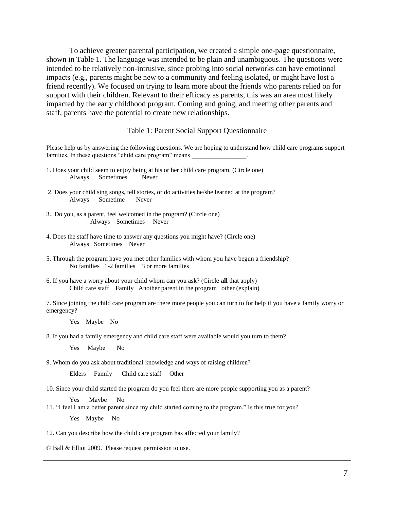To achieve greater parental participation, we created a simple one-page questionnaire, shown in Table 1. The language was intended to be plain and unambiguous. The questions were intended to be relatively non-intrusive, since probing into social networks can have emotional impacts (e.g., parents might be new to a community and feeling isolated, or might have lost a friend recently). We focused on trying to learn more about the friends who parents relied on for support with their children. Relevant to their efficacy as parents, this was an area most likely impacted by the early childhood program. Coming and going, and meeting other parents and staff, parents have the potential to create new relationships.

#### Table 1: Parent Social Support Questionnaire

| Please help us by answering the following questions. We are hoping to understand how child care programs support<br>families. In these questions "child care program" means |
|-----------------------------------------------------------------------------------------------------------------------------------------------------------------------------|
| 1. Does your child seem to enjoy being at his or her child care program. (Circle one)<br>Sometimes<br>Always<br>Never                                                       |
| 2. Does your child sing songs, tell stories, or do activities he/she learned at the program?<br>Sometime<br>Always<br>Never                                                 |
| 3. Do you, as a parent, feel welcomed in the program? (Circle one)<br>Always Sometimes<br>Never                                                                             |
| 4. Does the staff have time to answer any questions you might have? (Circle one)<br>Always Sometimes Never                                                                  |
| 5. Through the program have you met other families with whom you have begun a friendship?<br>No families 1-2 families 3 or more families                                    |
| 6. If you have a worry about your child whom can you ask? (Circle all that apply)<br>Child care staff Family Another parent in the program other (explain)                  |
| 7. Since joining the child care program are there more people you can turn to for help if you have a family worry or<br>emergency?                                          |
| Yes Maybe No                                                                                                                                                                |
| 8. If you had a family emergency and child care staff were available would you turn to them?                                                                                |
| Yes<br>Maybe<br>N <sub>o</sub>                                                                                                                                              |
| 9. Whom do you ask about traditional knowledge and ways of raising children?                                                                                                |
| Elders<br>Family<br>Child care staff<br>Other                                                                                                                               |
| 10. Since your child started the program do you feel there are more people supporting you as a parent?                                                                      |
| Maybe<br>N <sub>0</sub><br><b>Yes</b>                                                                                                                                       |
| 11. "I feel I am a better parent since my child started coming to the program." Is this true for you?<br>Yes Maybe<br>No                                                    |
|                                                                                                                                                                             |
| 12. Can you describe how the child care program has affected your family?                                                                                                   |
| © Ball & Elliot 2009. Please request permission to use.                                                                                                                     |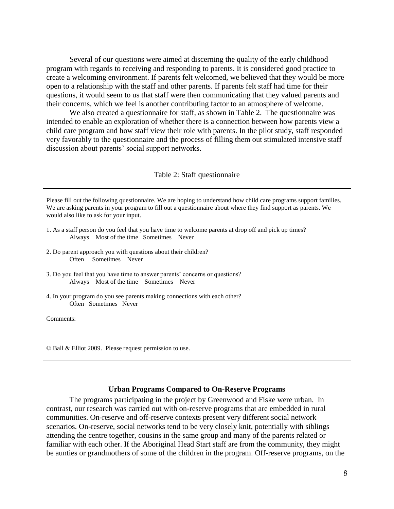Several of our questions were aimed at discerning the quality of the early childhood program with regards to receiving and responding to parents. It is considered good practice to create a welcoming environment. If parents felt welcomed, we believed that they would be more open to a relationship with the staff and other parents. If parents felt staff had time for their questions, it would seem to us that staff were then communicating that they valued parents and their concerns, which we feel is another contributing factor to an atmosphere of welcome.

We also created a questionnaire for staff, as shown in Table 2. The questionnaire was intended to enable an exploration of whether there is a connection between how parents view a child care program and how staff view their role with parents. In the pilot study, staff responded very favorably to the questionnaire and the process of filling them out stimulated intensive staff discussion about parents' social support networks.

#### Table 2: Staff questionnaire

| Please fill out the following questionnaire. We are hoping to understand how child care programs support families.<br>We are asking parents in your program to fill out a questionnaire about where they find support as parents. We<br>would also like to ask for your input. |
|--------------------------------------------------------------------------------------------------------------------------------------------------------------------------------------------------------------------------------------------------------------------------------|
| 1. As a staff person do you feel that you have time to welcome parents at drop off and pick up times?<br>Always Most of the time Sometimes Never                                                                                                                               |
| 2. Do parent approach you with questions about their children?<br>Sometimes Never<br>Often                                                                                                                                                                                     |
| 3. Do you feel that you have time to answer parents' concerns or questions?<br>Always Most of the time Sometimes Never                                                                                                                                                         |
| 4. In your program do you see parents making connections with each other?<br>Often Sometimes Never                                                                                                                                                                             |
| Comments:                                                                                                                                                                                                                                                                      |
| $\odot$ Ball & Elliot 2009. Please request permission to use.                                                                                                                                                                                                                  |

#### **Urban Programs Compared to On-Reserve Programs**

The programs participating in the project by Greenwood and Fiske were urban. In contrast, our research was carried out with on-reserve programs that are embedded in rural communities. On-reserve and off-reserve contexts present very different social network scenarios. On-reserve, social networks tend to be very closely knit, potentially with siblings attending the centre together, cousins in the same group and many of the parents related or familiar with each other. If the Aboriginal Head Start staff are from the community, they might be aunties or grandmothers of some of the children in the program. Off-reserve programs, on the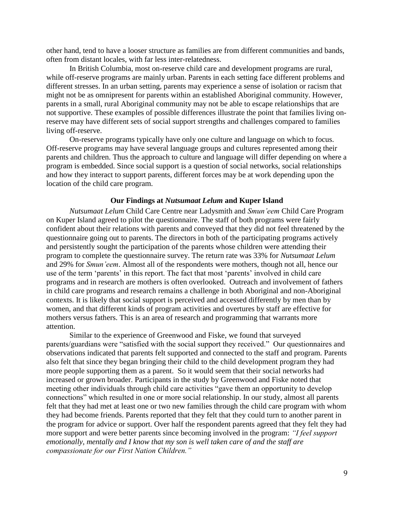other hand, tend to have a looser structure as families are from different communities and bands, often from distant locales, with far less inter-relatedness.

In British Columbia, most on-reserve child care and development programs are rural, while off-reserve programs are mainly urban. Parents in each setting face different problems and different stresses. In an urban setting, parents may experience a sense of isolation or racism that might not be as omnipresent for parents within an established Aboriginal community. However, parents in a small, rural Aboriginal community may not be able to escape relationships that are not supportive. These examples of possible differences illustrate the point that families living onreserve may have different sets of social support strengths and challenges compared to families living off-reserve.

On-reserve programs typically have only one culture and language on which to focus. Off-reserve programs may have several language groups and cultures represented among their parents and children. Thus the approach to culture and language will differ depending on where a program is embedded. Since social support is a question of social networks, social relationships and how they interact to support parents, different forces may be at work depending upon the location of the child care program.

#### **Our Findings at** *Nutsumaat Lelum* **and Kuper Island**

*Nutsumaat Lelum* Child Care Centre near Ladysmith and *Smun'eem* Child Care Program on Kuper Island agreed to pilot the questionnaire. The staff of both programs were fairly confident about their relations with parents and conveyed that they did not feel threatened by the questionnaire going out to parents. The directors in both of the participating programs actively and persistently sought the participation of the parents whose children were attending their program to complete the questionnaire survey. The return rate was 33% for *Nutsumaat Lelum* and 29% for *Smun'eem*. Almost all of the respondents were mothers, though not all, hence our use of the term 'parents' in this report. The fact that most 'parents' involved in child care programs and in research are mothers is often overlooked. Outreach and involvement of fathers in child care programs and research remains a challenge in both Aboriginal and non-Aboriginal contexts. It is likely that social support is perceived and accessed differently by men than by women, and that different kinds of program activities and overtures by staff are effective for mothers versus fathers. This is an area of research and programming that warrants more attention.

Similar to the experience of Greenwood and Fiske, we found that surveyed parents/guardians were "satisfied with the social support they received." Our questionnaires and observations indicated that parents felt supported and connected to the staff and program. Parents also felt that since they began bringing their child to the child development program they had more people supporting them as a parent. So it would seem that their social networks had increased or grown broader. Participants in the study by Greenwood and Fiske noted that meeting other individuals through child care activities "gave them an opportunity to develop connections" which resulted in one or more social relationship. In our study, almost all parents felt that they had met at least one or two new families through the child care program with whom they had become friends. Parents reported that they felt that they could turn to another parent in the program for advice or support. Over half the respondent parents agreed that they felt they had more support and were better parents since becoming involved in the program: *"I feel support emotionally, mentally and I know that my son is well taken care of and the staff are compassionate for our First Nation Children."*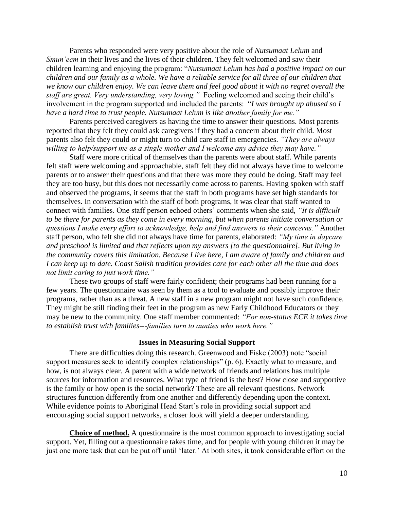Parents who responded were very positive about the role of *Nutsumaat Lelum* and *Smun'eem* in their lives and the lives of their children. They felt welcomed and saw their children learning and enjoying the program: "*Nutsumaat Lelum has had a positive impact on our children and our family as a whole. We have a reliable service for all three of our children that we know our children enjoy. We can leave them and feel good about it with no regret overall the staff are great. Very understanding, very loving."* Feeling welcomed and seeing their child's involvement in the program supported and included the parents: "*I was brought up abused so I have a hard time to trust people. Nutsumaat Lelum is like another family for me."* 

Parents perceived caregivers as having the time to answer their questions. Most parents reported that they felt they could ask caregivers if they had a concern about their child. Most parents also felt they could or might turn to child care staff in emergencies. *"They are always willing to help/support me as a single mother and I welcome any advice they may have."*

Staff were more critical of themselves than the parents were about staff. While parents felt staff were welcoming and approachable, staff felt they did not always have time to welcome parents or to answer their questions and that there was more they could be doing. Staff may feel they are too busy, but this does not necessarily come across to parents. Having spoken with staff and observed the programs, it seems that the staff in both programs have set high standards for themselves. In conversation with the staff of both programs, it was clear that staff wanted to connect with families. One staff person echoed others' comments when she said, *"It is difficult to be there for parents as they come in every morning, but when parents initiate conversation or questions I make every effort to acknowledge, help and find answers to their concerns."* Another staff person, who felt she did not always have time for parents, elaborated: *"My time in daycare and preschool is limited and that reflects upon my answers [to the questionnaire]. But living in the community covers this limitation. Because I live here, I am aware of family and children and I can keep up to date. Coast Salish tradition provides care for each other all the time and does not limit caring to just work time."*

These two groups of staff were fairly confident; their programs had been running for a few years. The questionnaire was seen by them as a tool to evaluate and possibly improve their programs, rather than as a threat. A new staff in a new program might not have such confidence. They might be still finding their feet in the program as new Early Childhood Educators or they may be new to the community. One staff member commented: *"For non-status ECE it takes time to establish trust with families---families turn to aunties who work here."*

#### **Issues in Measuring Social Support**

There are difficulties doing this research. Greenwood and Fiske (2003) note "social support measures seek to identify complex relationships" (p. 6). Exactly what to measure, and how, is not always clear. A parent with a wide network of friends and relations has multiple sources for information and resources. What type of friend is the best? How close and supportive is the family or how open is the social network? These are all relevant questions. Network structures function differently from one another and differently depending upon the context. While evidence points to Aboriginal Head Start's role in providing social support and encouraging social support networks, a closer look will yield a deeper understanding.

**Choice of method.** A questionnaire is the most common approach to investigating social support. Yet, filling out a questionnaire takes time, and for people with young children it may be just one more task that can be put off until 'later.' At both sites, it took considerable effort on the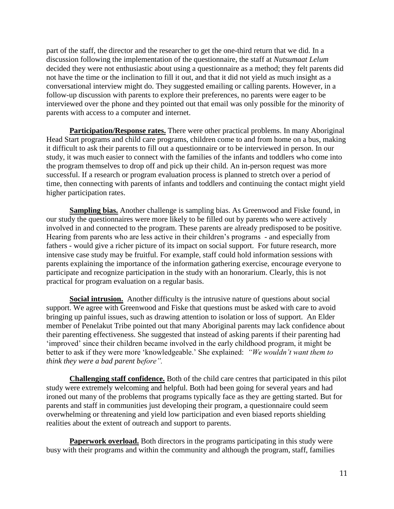part of the staff, the director and the researcher to get the one-third return that we did. In a discussion following the implementation of the questionnaire, the staff at *Nutsumaat Lelum* decided they were not enthusiastic about using a questionnaire as a method; they felt parents did not have the time or the inclination to fill it out, and that it did not yield as much insight as a conversational interview might do. They suggested emailing or calling parents. However, in a follow-up discussion with parents to explore their preferences, no parents were eager to be interviewed over the phone and they pointed out that email was only possible for the minority of parents with access to a computer and internet.

**Participation/Response rates.** There were other practical problems. In many Aboriginal Head Start programs and child care programs, children come to and from home on a bus, making it difficult to ask their parents to fill out a questionnaire or to be interviewed in person. In our study, it was much easier to connect with the families of the infants and toddlers who come into the program themselves to drop off and pick up their child. An in-person request was more successful. If a research or program evaluation process is planned to stretch over a period of time, then connecting with parents of infants and toddlers and continuing the contact might yield higher participation rates.

**Sampling bias.** Another challenge is sampling bias. As Greenwood and Fiske found, in our study the questionnaires were more likely to be filled out by parents who were actively involved in and connected to the program. These parents are already predisposed to be positive. Hearing from parents who are less active in their children's programs - and especially from fathers - would give a richer picture of its impact on social support. For future research, more intensive case study may be fruitful. For example, staff could hold information sessions with parents explaining the importance of the information gathering exercise, encourage everyone to participate and recognize participation in the study with an honorarium. Clearly, this is not practical for program evaluation on a regular basis.

**Social intrusion.** Another difficulty is the intrusive nature of questions about social support. We agree with Greenwood and Fiske that questions must be asked with care to avoid bringing up painful issues, such as drawing attention to isolation or loss of support. An Elder member of Penelakut Tribe pointed out that many Aboriginal parents may lack confidence about their parenting effectiveness. She suggested that instead of asking parents if their parenting had 'improved' since their children became involved in the early childhood program, it might be better to ask if they were more 'knowledgeable.' She explained: *"We wouldn't want them to think they were a bad parent before".* 

**Challenging staff confidence.** Both of the child care centres that participated in this pilot study were extremely welcoming and helpful. Both had been going for several years and had ironed out many of the problems that programs typically face as they are getting started. But for parents and staff in communities just developing their program, a questionnaire could seem overwhelming or threatening and yield low participation and even biased reports shielding realities about the extent of outreach and support to parents.

**Paperwork overload.** Both directors in the programs participating in this study were busy with their programs and within the community and although the program, staff, families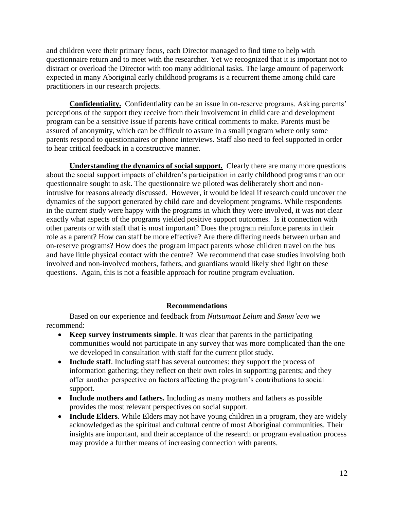and children were their primary focus, each Director managed to find time to help with questionnaire return and to meet with the researcher. Yet we recognized that it is important not to distract or overload the Director with too many additional tasks. The large amount of paperwork expected in many Aboriginal early childhood programs is a recurrent theme among child care practitioners in our research projects.

**Confidentiality.** Confidentiality can be an issue in on-reserve programs. Asking parents' perceptions of the support they receive from their involvement in child care and development program can be a sensitive issue if parents have critical comments to make. Parents must be assured of anonymity, which can be difficult to assure in a small program where only some parents respond to questionnaires or phone interviews. Staff also need to feel supported in order to hear critical feedback in a constructive manner.

**Understanding the dynamics of social support.** Clearly there are many more questions about the social support impacts of children's participation in early childhood programs than our questionnaire sought to ask. The questionnaire we piloted was deliberately short and nonintrusive for reasons already discussed. However, it would be ideal if research could uncover the dynamics of the support generated by child care and development programs. While respondents in the current study were happy with the programs in which they were involved, it was not clear exactly what aspects of the programs yielded positive support outcomes. Is it connection with other parents or with staff that is most important? Does the program reinforce parents in their role as a parent? How can staff be more effective? Are there differing needs between urban and on-reserve programs? How does the program impact parents whose children travel on the bus and have little physical contact with the centre? We recommend that case studies involving both involved and non-involved mothers, fathers, and guardians would likely shed light on these questions. Again, this is not a feasible approach for routine program evaluation.

## **Recommendations**

Based on our experience and feedback from *Nutsumaat Lelum* and *Smun'eem* we recommend:

- **Keep survey instruments simple**. It was clear that parents in the participating communities would not participate in any survey that was more complicated than the one we developed in consultation with staff for the current pilot study.
- **Include staff**. Including staff has several outcomes: they support the process of information gathering; they reflect on their own roles in supporting parents; and they offer another perspective on factors affecting the program's contributions to social support.
- **Include mothers and fathers.** Including as many mothers and fathers as possible provides the most relevant perspectives on social support.
- **Include Elders**. While Elders may not have young children in a program, they are widely acknowledged as the spiritual and cultural centre of most Aboriginal communities. Their insights are important, and their acceptance of the research or program evaluation process may provide a further means of increasing connection with parents.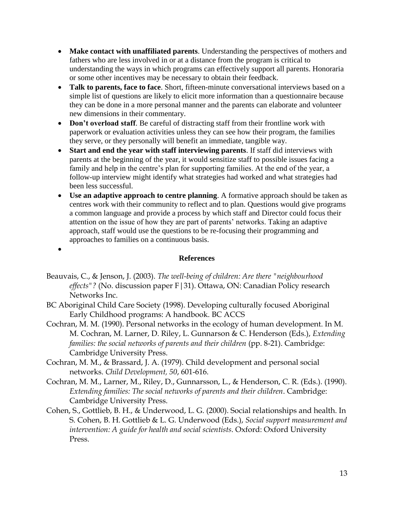- **Make contact with unaffiliated parents**. Understanding the perspectives of mothers and fathers who are less involved in or at a distance from the program is critical to understanding the ways in which programs can effectively support all parents. Honoraria or some other incentives may be necessary to obtain their feedback.
- **Talk to parents, face to face**. Short, fifteen-minute conversational interviews based on a simple list of questions are likely to elicit more information than a questionnaire because they can be done in a more personal manner and the parents can elaborate and volunteer new dimensions in their commentary.
- Don't overload staff. Be careful of distracting staff from their frontline work with paperwork or evaluation activities unless they can see how their program, the families they serve, or they personally will benefit an immediate, tangible way.
- **Start and end the year with staff interviewing parents**. If staff did interviews with parents at the beginning of the year, it would sensitize staff to possible issues facing a family and help in the centre's plan for supporting families. At the end of the year, a follow-up interview might identify what strategies had worked and what strategies had been less successful.
- **Use an adaptive approach to centre planning**. A formative approach should be taken as centres work with their community to reflect and to plan. Questions would give programs a common language and provide a process by which staff and Director could focus their attention on the issue of how they are part of parents' networks. Taking an adaptive approach, staff would use the questions to be re-focusing their programming and approaches to families on a continuous basis.
- $\bullet$

## **References**

- Beauvais, C., & Jenson, J. (2003). *The well-being of children: Are there "neighbourhood effects"?* (No. discussion paper F|31). Ottawa, ON: Canadian Policy research Networks Inc.
- BC Aboriginal Child Care Society (1998). Developing culturally focused Aboriginal Early Childhood programs: A handbook. BC ACCS
- Cochran, M. M. (1990). Personal networks in the ecology of human development. In M. M. Cochran, M. Larner, D. Riley, L. Gunnarson & C. Henderson (Eds.), *Extending families: the social networks of parents and their children* (pp. 8-21). Cambridge: Cambridge University Press.
- Cochran, M. M., & Brassard, J. A. (1979). Child development and personal social networks. *Child Development, 50*, 601-616.
- Cochran, M. M., Larner, M., Riley, D., Gunnarsson, L., & Henderson, C. R. (Eds.). (1990). *Extending families: The social networks of parents and their children*. Cambridge: Cambridge University Press.
- Cohen, S., Gottlieb, B. H., & Underwood, L. G. (2000). Social relationships and health. In S. Cohen, B. H. Gottlieb & L. G. Underwood (Eds.), *Social support measurement and intervention: A guide for health and social scientists*. Oxford: Oxford University Press.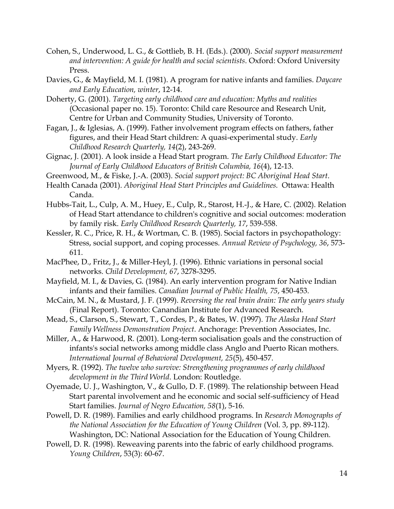- Cohen, S., Underwood, L. G., & Gottlieb, B. H. (Eds.). (2000). *Social support measurement and intervention: A guide for health and social scientists*. Oxford: Oxford University Press.
- Davies, G., & Mayfield, M. I. (1981). A program for native infants and families. *Daycare and Early Education, winter*, 12-14.
- Doherty, G. (2001). *Targeting early childhood care and education: Myths and realities* (Occasional paper no. 15). Toronto: Child care Resource and Research Unit, Centre for Urban and Community Studies, University of Toronto.
- Fagan, J., & Iglesias, A. (1999). Father involvement program effects on fathers, father figures, and their Head Start children: A quasi-experimental study. *Early Childhood Research Quarterly, 14*(2), 243-269.
- Gignac, J. (2001). A look inside a Head Start program. *The Early Childhood Educator: The Journal of Early Childhood Educators of British Columbia, 16*(4), 12-13.
- Greenwood, M., & Fiske, J.-A. (2003). *Social support project: BC Aboriginal Head Start*.
- Health Canada (2001). *Aboriginal Head Start Principles and Guidelines.* Ottawa: Health Canda.
- Hubbs-Tait, L., Culp, A. M., Huey, E., Culp, R., Starost, H.-J., & Hare, C. (2002). Relation of Head Start attendance to children's cognitive and social outcomes: moderation by family risk. *Early Childhood Research Quarterly, 17*, 539-558.
- Kessler, R. C., Price, R. H., & Wortman, C. B. (1985). Social factors in psychopathology: Stress, social support, and coping processes. *Annual Review of Psychology, 36*, 573- 611.
- MacPhee, D., Fritz, J., & Miller-Heyl, J. (1996). Ethnic variations in personal social networks. *Child Development, 67*, 3278-3295.
- Mayfield, M. I., & Davies, G. (1984). An early intervention program for Native Indian infants and their families. *Canadian Journal of Public Health, 75*, 450-453.
- McCain, M. N., & Mustard, J. F. (1999). *Reversing the real brain drain: The early years study* (Final Report). Toronto: Canandian Institute for Advanced Research.
- Mead, S., Clarson, S., Stewart, T., Cordes, P., & Bates, W. (1997). *The Alaska Head Start Family Wellness Demonstration Project*. Anchorage: Prevention Associates, Inc.
- Miller, A., & Harwood, R. (2001). Long-term socialisation goals and the construction of infants's social networks among middle class Anglo and Puerto Rican mothers. *International Journal of Behavioral Development, 25*(5), 450-457.
- Myers, R. (1992). *The twelve who survive: Strengthening programmes of early childhood development in the Third World*. London: Routledge.
- Oyemade, U. J., Washington, V., & Gullo, D. F. (1989). The relationship between Head Start parental involvement and he economic and social self-sufficiency of Head Start families. *Journal of Negro Education, 58*(1), 5-16.
- Powell, D. R. (1989). Families and early childhood programs. In *Research Monographs of the National Association for the Education of Young Children* (Vol. 3, pp. 89-112). Washington, DC: National Association for the Education of Young Children.
- Powell, D. R. (1998). Reweaving parents into the fabric of early childhood programs. *Young Children*, 53(3): 60-67.